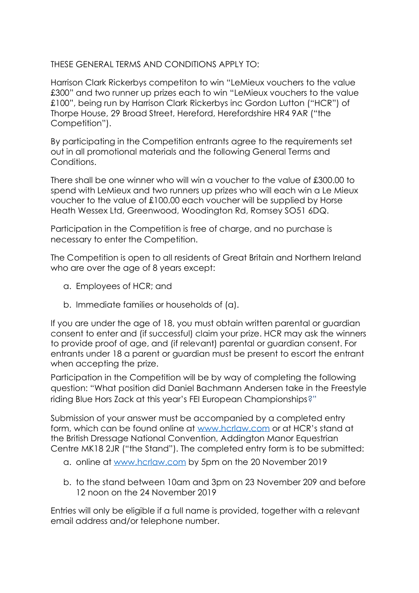THESE GENERAL TERMS AND CONDITIONS APPLY TO:

Harrison Clark Rickerbys competiton to win "LeMieux vouchers to the value £300" and two runner up prizes each to win "LeMieux vouchers to the value £100", being run by Harrison Clark Rickerbys inc Gordon Lutton ("HCR") of Thorpe House, 29 Broad Street, Hereford, Herefordshire HR4 9AR ("the Competition").

By participating in the Competition entrants agree to the requirements set out in all promotional materials and the following General Terms and Conditions.

There shall be one winner who will win a voucher to the value of £300.00 to spend with LeMieux and two runners up prizes who will each win a Le Mieux voucher to the value of £100.00 each voucher will be supplied by Horse Heath Wessex Ltd, Greenwood, Woodington Rd, Romsey SO51 6DQ.

Participation in the Competition is free of charge, and no purchase is necessary to enter the Competition.

The Competition is open to all residents of Great Britain and Northern Ireland who are over the age of 8 years except:

- a. Employees of HCR; and
- b. Immediate families or households of (a).

If you are under the age of 18, you must obtain written parental or guardian consent to enter and (if successful) claim your prize. HCR may ask the winners to provide proof of age, and (if relevant) parental or guardian consent. For entrants under 18 a parent or guardian must be present to escort the entrant when accepting the prize.

Participation in the Competition will be by way of completing the following question: "What position did Daniel Bachmann Andersen take in the Freestyle riding Blue Hors Zack at this year's FEI European Championships?"

Submission of your answer must be accompanied by a completed entry form, which can be found online at [www.hcrlaw.com](http://www.hcrlaw.com/) or at HCR's stand at the British Dressage National Convention, Addington Manor Equestrian Centre MK18 2JR ("the Stand"). The completed entry form is to be submitted:

- a. online at [www.hcrlaw.com](http://www.hcrlaw.com/) by 5pm on the 20 November 2019
- b. to the stand between 10am and 3pm on 23 November 209 and before 12 noon on the 24 November 2019

Entries will only be eligible if a full name is provided, together with a relevant email address and/or telephone number.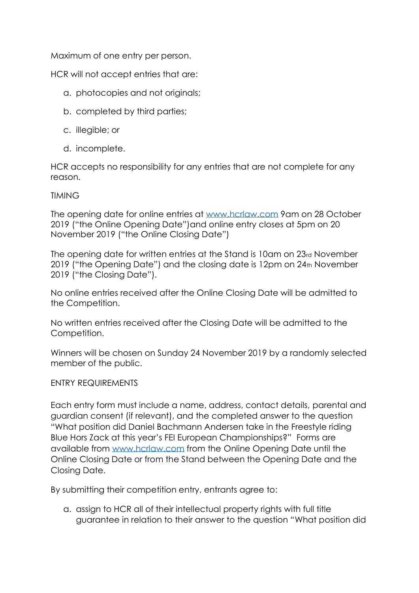Maximum of one entry per person.

HCR will not accept entries that are:

- a. photocopies and not originals;
- b. completed by third parties;
- c. illegible; or
- d. incomplete.

HCR accepts no responsibility for any entries that are not complete for any reason.

## TIMING

The opening date for online entries at [www.hcrlaw.com](http://www.hcrlaw.com/) 9am on 28 October 2019 ("the Online Opening Date")and online entry closes at 5pm on 20 November 2019 ("the Online Closing Date")

The opening date for written entries at the Stand is 10am on 23rd November 2019 ("the Opening Date") and the closing date is 12pm on 24th November 2019 ("the Closing Date").

No online entries received after the Online Closing Date will be admitted to the Competition.

No written entries received after the Closing Date will be admitted to the Competition.

Winners will be chosen on Sunday 24 November 2019 by a randomly selected member of the public.

## ENTRY REQUIREMENTS

Each entry form must include a name, address, contact details, parental and guardian consent (if relevant), and the completed answer to the question "What position did Daniel Bachmann Andersen take in the Freestyle riding Blue Hors Zack at this year's FEI European Championships?" Forms are available from [www.hcrlaw.com](http://www.hcrlaw.com/) from the Online Opening Date until the Online Closing Date or from the Stand between the Opening Date and the Closing Date.

By submitting their competition entry, entrants agree to:

a. assign to HCR all of their intellectual property rights with full title guarantee in relation to their answer to the question "What position did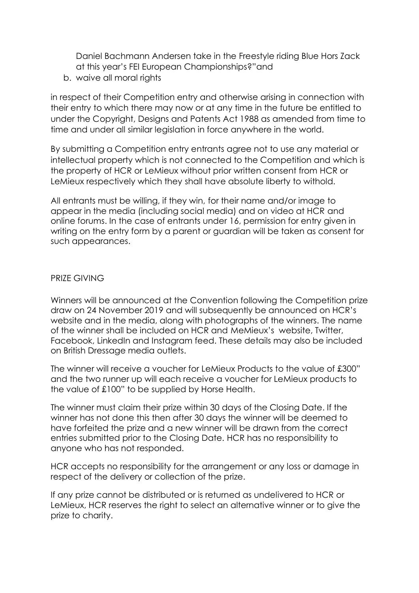Daniel Bachmann Andersen take in the Freestyle riding Blue Hors Zack at this year's FEI European Championships?"and

b. waive all moral rights

in respect of their Competition entry and otherwise arising in connection with their entry to which there may now or at any time in the future be entitled to under the Copyright, Designs and Patents Act 1988 as amended from time to time and under all similar legislation in force anywhere in the world.

By submitting a Competition entry entrants agree not to use any material or intellectual property which is not connected to the Competition and which is the property of HCR or LeMieux without prior written consent from HCR or LeMieux respectively which they shall have absolute liberty to withold.

All entrants must be willing, if they win, for their name and/or image to appear in the media (including social media) and on video at HCR and online forums. In the case of entrants under 16, permission for entry given in writing on the entry form by a parent or guardian will be taken as consent for such appearances.

## PRIZE GIVING

Winners will be announced at the Convention following the Competition prize draw on 24 November 2019 and will subsequently be announced on HCR's website and in the media, along with photographs of the winners. The name of the winner shall be included on HCR and MeMieux's website, Twitter, Facebook, LinkedIn and Instagram feed. These details may also be included on British Dressage media outlets.

The winner will receive a voucher for LeMieux Products to the value of £300" and the two runner up will each receive a voucher for LeMieux products to the value of £100" to be supplied by Horse Health.

The winner must claim their prize within 30 days of the Closing Date. If the winner has not done this then after 30 days the winner will be deemed to have forfeited the prize and a new winner will be drawn from the correct entries submitted prior to the Closing Date. HCR has no responsibility to anyone who has not responded.

HCR accepts no responsibility for the arrangement or any loss or damage in respect of the delivery or collection of the prize.

If any prize cannot be distributed or is returned as undelivered to HCR or LeMieux, HCR reserves the right to select an alternative winner or to give the prize to charity.